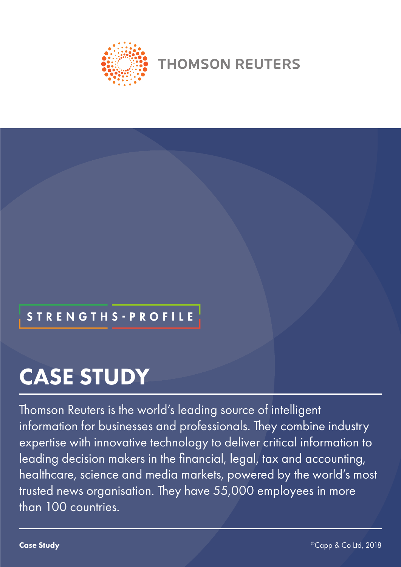

**THOMSON REUTERS** 

# **STRENGTHS · PROFILE**

# CASE STUDY

Thomson Reuters is the world's leading source of intelligent information for businesses and professionals. They combine industry expertise with innovative technology to deliver critical information to leading decision makers in the financial, legal, tax and accounting, healthcare, science and media markets, powered by the world's most trusted news organisation. They have 55,000 employees in more than 100 countries.